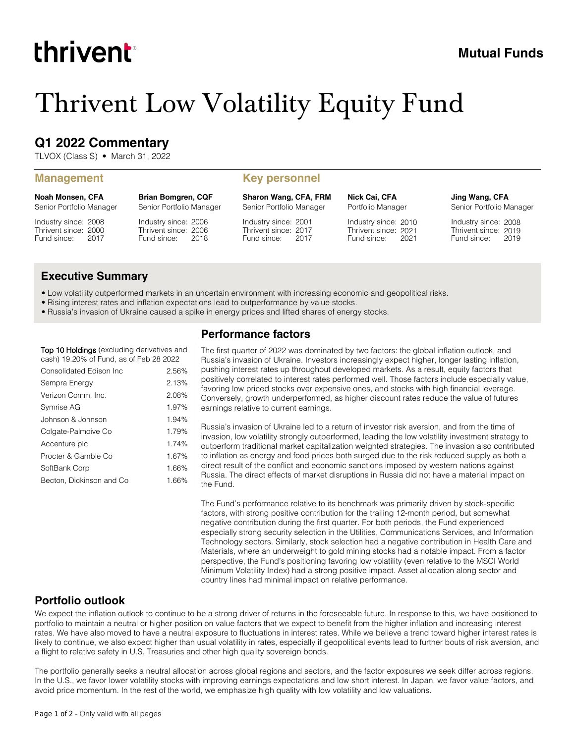# thrivent

## **Mutual Funds**

## Thrivent Low Volatility Equity Fund

## **Q1 2022 Commentary**

TLVOX (Class S) • March 31, 2022

#### **Management Key personnel**

**Noah Monsen, CFA** Senior Portfolio Manager

Industry since: 2008 Thrivent since: 2000 Fund since: 2017

Industry since: 2006 Thrivent since: 2006 Fund since: 2018 Senior Portfolio Manager

**Brian Bomgren, CQF**

**Sharon Wang, CFA, FRM**

Senior Portfolio Manager

Industry since: 2001 Thrivent since: 2017 Fund since: 2017 **Nick Cai, CFA** Portfolio Manager

Industry since: 2010 Thrivent since: 2021 Fund since: 2021 **Jing Wang, CFA** Senior Portfolio Manager

Industry since: 2008 Thrivent since: 2019 Fund since: 2019

#### **Executive Summary**

• Low volatility outperformed markets in an uncertain environment with increasing economic and geopolitical risks.

- Rising interest rates and inflation expectations lead to outperformance by value stocks.
- Russia's invasion of Ukraine caused a spike in energy prices and lifted shares of energy stocks.

### **Top 10 Holdings** (excluding derivatives and cash) 19.20% of Fund, as of Feb 28 2022

| Consolidated Edison Inc  | 2.56% |
|--------------------------|-------|
| Sempra Energy            | 2.13% |
| Verizon Comm, Inc.       | 2.08% |
| Symrise AG               | 1.97% |
| Johnson & Johnson        | 1.94% |
| Colgate-Palmoive Co      | 1.79% |
| Accenture plc            | 1.74% |
| Procter & Gamble Co      | 1.67% |
| SoftBank Corp            | 1.66% |
| Becton, Dickinson and Co | 1.66% |

#### **Performance factors**

The first quarter of 2022 was dominated by two factors: the global inflation outlook, and Russia's invasion of Ukraine. Investors increasingly expect higher, longer lasting inflation, pushing interest rates up throughout developed markets. As a result, equity factors that positively correlated to interest rates performed well. Those factors include especially value, favoring low priced stocks over expensive ones, and stocks with high financial leverage. Conversely, growth underperformed, as higher discount rates reduce the value of futures earnings relative to current earnings.

Russia's invasion of Ukraine led to a return of investor risk aversion, and from the time of invasion, low volatility strongly outperformed, leading the low volatility investment strategy to outperform traditional market capitalization weighted strategies. The invasion also contributed to inflation as energy and food prices both surged due to the risk reduced supply as both a direct result of the conflict and economic sanctions imposed by western nations against Russia. The direct effects of market disruptions in Russia did not have a material impact on the Fund.

The Fund's performance relative to its benchmark was primarily driven by stock-specific factors, with strong positive contribution for the trailing 12-month period, but somewhat negative contribution during the first quarter. For both periods, the Fund experienced especially strong security selection in the Utilities, Communications Services, and Information Technology sectors. Similarly, stock selection had a negative contribution in Health Care and Materials, where an underweight to gold mining stocks had a notable impact. From a factor perspective, the Fund's positioning favoring low volatility (even relative to the MSCI World Minimum Volatility Index) had a strong positive impact. Asset allocation along sector and country lines had minimal impact on relative performance.

#### **Portfolio outlook**

We expect the inflation outlook to continue to be a strong driver of returns in the foreseeable future. In response to this, we have positioned to portfolio to maintain a neutral or higher position on value factors that we expect to benefit from the higher inflation and increasing interest rates. We have also moved to have a neutral exposure to fluctuations in interest rates. While we believe a trend toward higher interest rates is likely to continue, we also expect higher than usual volatility in rates, especially if geopolitical events lead to further bouts of risk aversion, and a flight to relative safety in U.S. Treasuries and other high quality sovereign bonds.

The portfolio generally seeks a neutral allocation across global regions and sectors, and the factor exposures we seek differ across regions. In the U.S., we favor lower volatility stocks with improving earnings expectations and low short interest. In Japan, we favor value factors, and avoid price momentum. In the rest of the world, we emphasize high quality with low volatility and low valuations.